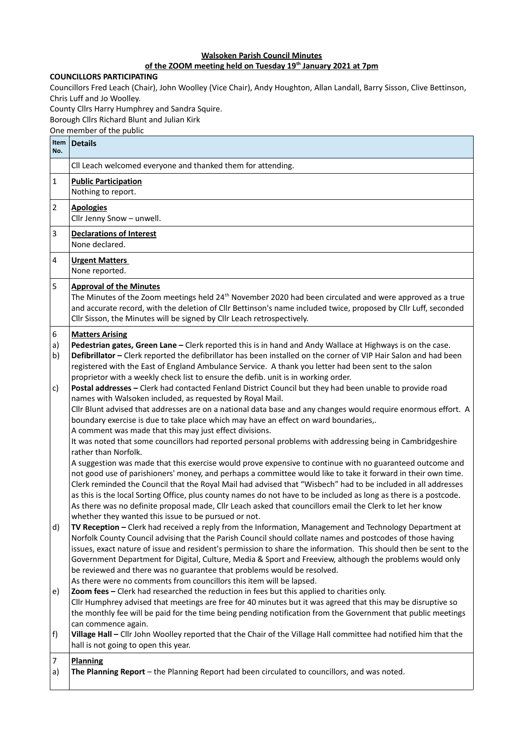## **Walsoken Parish Council Minutes**

## **of the ZOOM meeting held on Tuesday 19th January 2021 at 7pm**

## **COUNCILLORS PARTICIPATING**

Councillors Fred Leach (Chair), John Woolley (Vice Chair), Andy Houghton, Allan Landall, Barry Sisson, Clive Bettinson, Chris Luff and Jo Woolley.

County Cllrs Harry Humphrey and Sandra Squire.

Borough Cllrs Richard Blunt and Julian Kirk

One member of the public

| Item<br>No.    | <b>Details</b>                                                                                                                                                                                                                                                                                                                                                                                                                                                                                                                                                                                                                                                                                                                                                                                                                                                                                                                                                                                                                                                                                                                                                                                                                                                                                                 |
|----------------|----------------------------------------------------------------------------------------------------------------------------------------------------------------------------------------------------------------------------------------------------------------------------------------------------------------------------------------------------------------------------------------------------------------------------------------------------------------------------------------------------------------------------------------------------------------------------------------------------------------------------------------------------------------------------------------------------------------------------------------------------------------------------------------------------------------------------------------------------------------------------------------------------------------------------------------------------------------------------------------------------------------------------------------------------------------------------------------------------------------------------------------------------------------------------------------------------------------------------------------------------------------------------------------------------------------|
|                | Cll Leach welcomed everyone and thanked them for attending.                                                                                                                                                                                                                                                                                                                                                                                                                                                                                                                                                                                                                                                                                                                                                                                                                                                                                                                                                                                                                                                                                                                                                                                                                                                    |
| 1              | <b>Public Participation</b><br>Nothing to report.                                                                                                                                                                                                                                                                                                                                                                                                                                                                                                                                                                                                                                                                                                                                                                                                                                                                                                                                                                                                                                                                                                                                                                                                                                                              |
| $\overline{2}$ | <b>Apologies</b><br>Cllr Jenny Snow - unwell.                                                                                                                                                                                                                                                                                                                                                                                                                                                                                                                                                                                                                                                                                                                                                                                                                                                                                                                                                                                                                                                                                                                                                                                                                                                                  |
| 3              | <b>Declarations of Interest</b><br>None declared.                                                                                                                                                                                                                                                                                                                                                                                                                                                                                                                                                                                                                                                                                                                                                                                                                                                                                                                                                                                                                                                                                                                                                                                                                                                              |
| 4              | <b>Urgent Matters</b><br>None reported.                                                                                                                                                                                                                                                                                                                                                                                                                                                                                                                                                                                                                                                                                                                                                                                                                                                                                                                                                                                                                                                                                                                                                                                                                                                                        |
| 5              | <b>Approval of the Minutes</b><br>The Minutes of the Zoom meetings held $24th$ November 2020 had been circulated and were approved as a true<br>and accurate record, with the deletion of Cllr Bettinson's name included twice, proposed by Cllr Luff, seconded<br>Cllr Sisson, the Minutes will be signed by Cllr Leach retrospectively.                                                                                                                                                                                                                                                                                                                                                                                                                                                                                                                                                                                                                                                                                                                                                                                                                                                                                                                                                                      |
| 6<br>a)<br>b)  | <b>Matters Arising</b><br>Pedestrian gates, Green Lane - Clerk reported this is in hand and Andy Wallace at Highways is on the case.<br>Defibrillator - Clerk reported the defibrillator has been installed on the corner of VIP Hair Salon and had been<br>registered with the East of England Ambulance Service. A thank you letter had been sent to the salon                                                                                                                                                                                                                                                                                                                                                                                                                                                                                                                                                                                                                                                                                                                                                                                                                                                                                                                                               |
| c)             | proprietor with a weekly check list to ensure the defib. unit is in working order.<br>Postal addresses - Clerk had contacted Fenland District Council but they had been unable to provide road<br>names with Walsoken included, as requested by Royal Mail.<br>Cllr Blunt advised that addresses are on a national data base and any changes would require enormous effort. A<br>boundary exercise is due to take place which may have an effect on ward boundaries,.<br>A comment was made that this may just effect divisions.<br>It was noted that some councillors had reported personal problems with addressing being in Cambridgeshire<br>rather than Norfolk.<br>A suggestion was made that this exercise would prove expensive to continue with no guaranteed outcome and<br>not good use of parishioners' money, and perhaps a committee would like to take it forward in their own time.<br>Clerk reminded the Council that the Royal Mail had advised that "Wisbech" had to be included in all addresses<br>as this is the local Sorting Office, plus county names do not have to be included as long as there is a postcode.<br>As there was no definite proposal made, Cllr Leach asked that councillors email the Clerk to let her know<br>whether they wanted this issue to be pursued or not. |
| d)             | TV Reception - Clerk had received a reply from the Information, Management and Technology Department at<br>Norfolk County Council advising that the Parish Council should collate names and postcodes of those having<br>issues, exact nature of issue and resident's permission to share the information. This should then be sent to the<br>Government Department for Digital, Culture, Media & Sport and Freeview, although the problems would only<br>be reviewed and there was no guarantee that problems would be resolved.<br>As there were no comments from councillors this item will be lapsed.                                                                                                                                                                                                                                                                                                                                                                                                                                                                                                                                                                                                                                                                                                      |
| e)             | Zoom fees - Clerk had researched the reduction in fees but this applied to charities only.<br>Cllr Humphrey advised that meetings are free for 40 minutes but it was agreed that this may be disruptive so<br>the monthly fee will be paid for the time being pending notification from the Government that public meetings<br>can commence again.                                                                                                                                                                                                                                                                                                                                                                                                                                                                                                                                                                                                                                                                                                                                                                                                                                                                                                                                                             |
| f)             | Village Hall - Cllr John Woolley reported that the Chair of the Village Hall committee had notified him that the<br>hall is not going to open this year.                                                                                                                                                                                                                                                                                                                                                                                                                                                                                                                                                                                                                                                                                                                                                                                                                                                                                                                                                                                                                                                                                                                                                       |
| 7<br>a)        | <b>Planning</b><br>The Planning Report - the Planning Report had been circulated to councillors, and was noted.                                                                                                                                                                                                                                                                                                                                                                                                                                                                                                                                                                                                                                                                                                                                                                                                                                                                                                                                                                                                                                                                                                                                                                                                |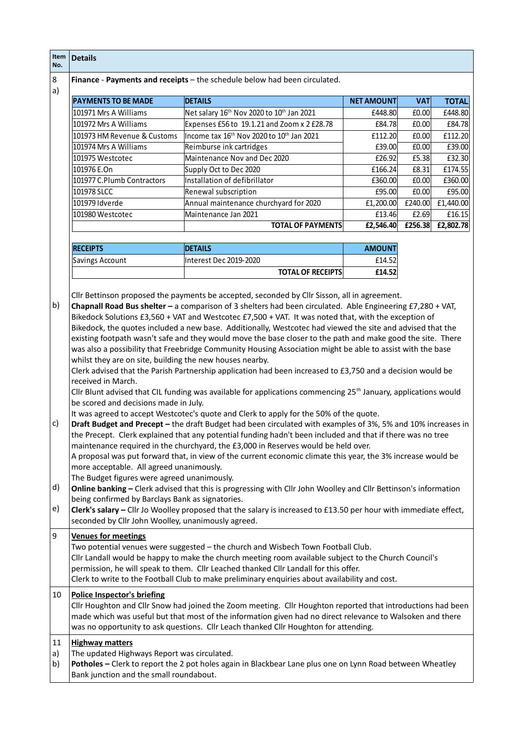| Item<br>No.    | <b>Details</b>                                                                                                                                                                                                                                                                                                                                                                                                                                                                                                                                                                                                                                                                                                                                                                                                                                                                                                                   |                                                                                                                                                                                                                                                                                                                                                                                     |                   |            |              |
|----------------|----------------------------------------------------------------------------------------------------------------------------------------------------------------------------------------------------------------------------------------------------------------------------------------------------------------------------------------------------------------------------------------------------------------------------------------------------------------------------------------------------------------------------------------------------------------------------------------------------------------------------------------------------------------------------------------------------------------------------------------------------------------------------------------------------------------------------------------------------------------------------------------------------------------------------------|-------------------------------------------------------------------------------------------------------------------------------------------------------------------------------------------------------------------------------------------------------------------------------------------------------------------------------------------------------------------------------------|-------------------|------------|--------------|
| 8<br>a)        |                                                                                                                                                                                                                                                                                                                                                                                                                                                                                                                                                                                                                                                                                                                                                                                                                                                                                                                                  | Finance - Payments and receipts - the schedule below had been circulated.                                                                                                                                                                                                                                                                                                           |                   |            |              |
|                | <b>PAYMENTS TO BE MADE</b>                                                                                                                                                                                                                                                                                                                                                                                                                                                                                                                                                                                                                                                                                                                                                                                                                                                                                                       | <b>DETAILS</b>                                                                                                                                                                                                                                                                                                                                                                      | <b>NET AMOUNT</b> | <b>VAT</b> | <b>TOTAL</b> |
|                | 101971 Mrs A Williams                                                                                                                                                                                                                                                                                                                                                                                                                                                                                                                                                                                                                                                                                                                                                                                                                                                                                                            | Net salary 16th Nov 2020 to 10th Jan 2021                                                                                                                                                                                                                                                                                                                                           | £448.80           | E0.00      | £448.80      |
|                | 101972 Mrs A Williams                                                                                                                                                                                                                                                                                                                                                                                                                                                                                                                                                                                                                                                                                                                                                                                                                                                                                                            | Expenses £56 to 19.1.21 and Zoom x 2 £28.78                                                                                                                                                                                                                                                                                                                                         | £84.78            | £0.00      | £84.78       |
|                | 101973 HM Revenue & Customs                                                                                                                                                                                                                                                                                                                                                                                                                                                                                                                                                                                                                                                                                                                                                                                                                                                                                                      | Income tax 16 <sup>th</sup> Nov 2020 to 10 <sup>th</sup> Jan 2021                                                                                                                                                                                                                                                                                                                   | £112.20           | E0.00      | £112.20      |
|                | 101974 Mrs A Williams                                                                                                                                                                                                                                                                                                                                                                                                                                                                                                                                                                                                                                                                                                                                                                                                                                                                                                            | Reimburse ink cartridges                                                                                                                                                                                                                                                                                                                                                            | £39.00            | £0.00      | £39.00       |
|                | 101975 Westcotec                                                                                                                                                                                                                                                                                                                                                                                                                                                                                                                                                                                                                                                                                                                                                                                                                                                                                                                 | Maintenance Nov and Dec 2020                                                                                                                                                                                                                                                                                                                                                        | £26.92            | £5.38      | £32.30       |
|                | 101976 E.On                                                                                                                                                                                                                                                                                                                                                                                                                                                                                                                                                                                                                                                                                                                                                                                                                                                                                                                      | Supply Oct to Dec 2020                                                                                                                                                                                                                                                                                                                                                              | £166.24           | £8.31      | £174.55      |
|                | 101977 C.Plumb Contractors                                                                                                                                                                                                                                                                                                                                                                                                                                                                                                                                                                                                                                                                                                                                                                                                                                                                                                       | Installation of defibrillator                                                                                                                                                                                                                                                                                                                                                       | £360.00           | E0.00      | £360.00      |
|                | 101978 SLCC                                                                                                                                                                                                                                                                                                                                                                                                                                                                                                                                                                                                                                                                                                                                                                                                                                                                                                                      | Renewal subscription                                                                                                                                                                                                                                                                                                                                                                | £95.00            | E0.00      | £95.00       |
|                | 101979 Idverde                                                                                                                                                                                                                                                                                                                                                                                                                                                                                                                                                                                                                                                                                                                                                                                                                                                                                                                   | Annual maintenance churchyard for 2020                                                                                                                                                                                                                                                                                                                                              | £1,200.00         | £240.00    | £1,440.00    |
|                | 101980 Westcotec                                                                                                                                                                                                                                                                                                                                                                                                                                                                                                                                                                                                                                                                                                                                                                                                                                                                                                                 | Maintenance Jan 2021                                                                                                                                                                                                                                                                                                                                                                | £13.46            | £2.69      | £16.15       |
|                |                                                                                                                                                                                                                                                                                                                                                                                                                                                                                                                                                                                                                                                                                                                                                                                                                                                                                                                                  | <b>TOTAL OF PAYMENTS</b>                                                                                                                                                                                                                                                                                                                                                            | £2,546.40         | £256.38    | £2,802.78    |
|                |                                                                                                                                                                                                                                                                                                                                                                                                                                                                                                                                                                                                                                                                                                                                                                                                                                                                                                                                  |                                                                                                                                                                                                                                                                                                                                                                                     |                   |            |              |
|                | <b>RECEIPTS</b>                                                                                                                                                                                                                                                                                                                                                                                                                                                                                                                                                                                                                                                                                                                                                                                                                                                                                                                  | <b>DETAILS</b>                                                                                                                                                                                                                                                                                                                                                                      | <b>AMOUNT</b>     |            |              |
|                | Savings Account                                                                                                                                                                                                                                                                                                                                                                                                                                                                                                                                                                                                                                                                                                                                                                                                                                                                                                                  | Interest Dec 2019-2020                                                                                                                                                                                                                                                                                                                                                              | £14.52            |            |              |
|                |                                                                                                                                                                                                                                                                                                                                                                                                                                                                                                                                                                                                                                                                                                                                                                                                                                                                                                                                  | <b>TOTAL OF RECEIPTS</b>                                                                                                                                                                                                                                                                                                                                                            | £14.52            |            |              |
| c)             | Clerk advised that the Parish Partnership application had been increased to £3,750 and a decision would be<br>received in March.<br>Cllr Blunt advised that CIL funding was available for applications commencing 25 <sup>th</sup> January, applications would<br>be scored and decisions made in July.<br>It was agreed to accept Westcotec's quote and Clerk to apply for the 50% of the quote.<br>Draft Budget and Precept - the draft Budget had been circulated with examples of 3%, 5% and 10% increases in<br>the Precept. Clerk explained that any potential funding hadn't been included and that if there was no tree<br>maintenance required in the churchyard, the £3,000 in Reserves would be held over.<br>A proposal was put forward that, in view of the current economic climate this year, the 3% increase would be<br>more acceptable. All agreed unanimously.<br>The Budget figures were agreed unanimously. |                                                                                                                                                                                                                                                                                                                                                                                     |                   |            |              |
| d)<br>e)       | Online banking - Clerk advised that this is progressing with Cllr John Woolley and Cllr Bettinson's information<br>being confirmed by Barclays Bank as signatories.<br>Clerk's salary - Cllr Jo Woolley proposed that the salary is increased to £13.50 per hour with immediate effect,<br>seconded by Cllr John Woolley, unanimously agreed.                                                                                                                                                                                                                                                                                                                                                                                                                                                                                                                                                                                    |                                                                                                                                                                                                                                                                                                                                                                                     |                   |            |              |
| 9              | <b>Venues for meetings</b>                                                                                                                                                                                                                                                                                                                                                                                                                                                                                                                                                                                                                                                                                                                                                                                                                                                                                                       | Two potential venues were suggested - the church and Wisbech Town Football Club.<br>Cllr Landall would be happy to make the church meeting room available subject to the Church Council's<br>permission, he will speak to them. Cllr Leached thanked Cllr Landall for this offer.<br>Clerk to write to the Football Club to make preliminary enquiries about availability and cost. |                   |            |              |
| 10             | <b>Police Inspector's briefing</b>                                                                                                                                                                                                                                                                                                                                                                                                                                                                                                                                                                                                                                                                                                                                                                                                                                                                                               | Cllr Houghton and Cllr Snow had joined the Zoom meeting. Cllr Houghton reported that introductions had been<br>made which was useful but that most of the information given had no direct relevance to Walsoken and there<br>was no opportunity to ask questions. Cllr Leach thanked Cllr Houghton for attending.                                                                   |                   |            |              |
| 11<br>a)<br>b) | <b>Highway matters</b><br>The updated Highways Report was circulated.<br>Bank junction and the small roundabout.                                                                                                                                                                                                                                                                                                                                                                                                                                                                                                                                                                                                                                                                                                                                                                                                                 | Potholes - Clerk to report the 2 pot holes again in Blackbear Lane plus one on Lynn Road between Wheatley                                                                                                                                                                                                                                                                           |                   |            |              |